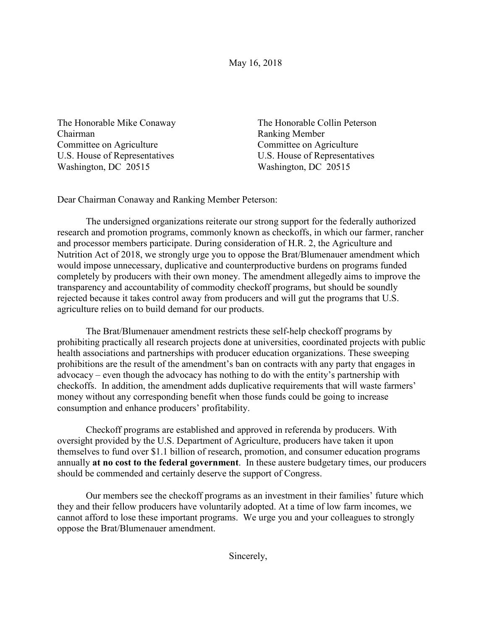May 16, 2018

The Honorable Mike Conaway The Honorable Collin Peterson Chairman Ranking Member Committee on Agriculture Committee on Agriculture U.S. House of Representatives U.S. House of Representatives Washington, DC 20515 Washington, DC 20515

Dear Chairman Conaway and Ranking Member Peterson:

The undersigned organizations reiterate our strong support for the federally authorized research and promotion programs, commonly known as checkoffs, in which our farmer, rancher and processor members participate. During consideration of H.R. 2, the Agriculture and Nutrition Act of 2018, we strongly urge you to oppose the Brat/Blumenauer amendment which would impose unnecessary, duplicative and counterproductive burdens on programs funded completely by producers with their own money. The amendment allegedly aims to improve the transparency and accountability of commodity checkoff programs, but should be soundly rejected because it takes control away from producers and will gut the programs that U.S. agriculture relies on to build demand for our products.

The Brat/Blumenauer amendment restricts these self-help checkoff programs by prohibiting practically all research projects done at universities, coordinated projects with public health associations and partnerships with producer education organizations. These sweeping prohibitions are the result of the amendment's ban on contracts with any party that engages in advocacy – even though the advocacy has nothing to do with the entity's partnership with checkoffs. In addition, the amendment adds duplicative requirements that will waste farmers' money without any corresponding benefit when those funds could be going to increase consumption and enhance producers' profitability.

Checkoff programs are established and approved in referenda by producers. With oversight provided by the U.S. Department of Agriculture, producers have taken it upon themselves to fund over \$1.1 billion of research, promotion, and consumer education programs annually **at no cost to the federal government**. In these austere budgetary times, our producers should be commended and certainly deserve the support of Congress.

Our members see the checkoff programs as an investment in their families' future which they and their fellow producers have voluntarily adopted. At a time of low farm incomes, we cannot afford to lose these important programs. We urge you and your colleagues to strongly oppose the Brat/Blumenauer amendment.

Sincerely,